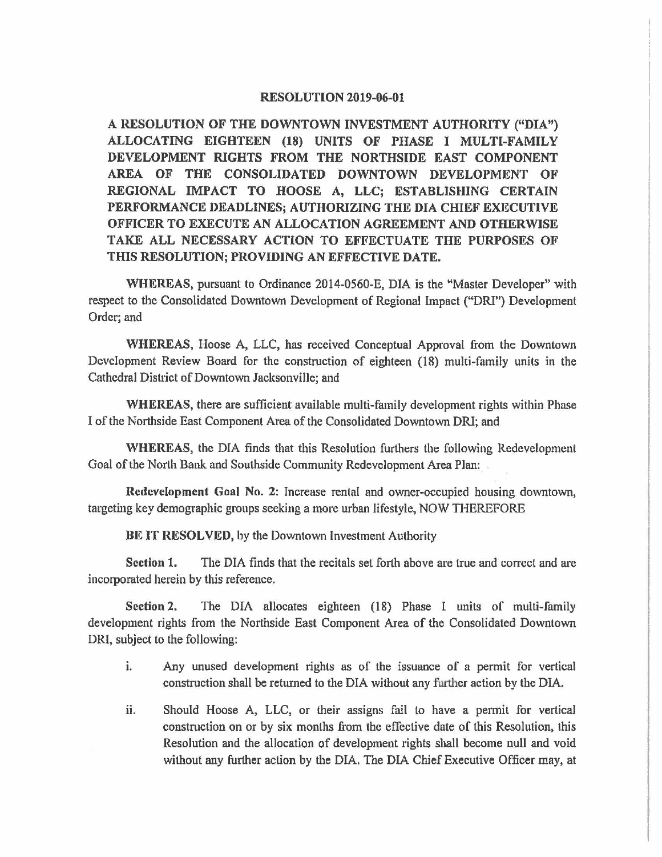## **RESOLUTION 2019-06-01**

**A RESOLUTION OF THE DOWNTOWN INVESTMENT AUTHORITY ("DIA") ALLOCATING EIGHTEEN (18) UNITS OF PHASE** I **MULTI-FAMILY DEVELOPMENT RIGHTS FROM THE NORTHSIDE EAST COMPONENT AREA OF THE CONSOLIDATED DOWNTOWN DEVELOPMENT OF REGIONAL IMPACT TO HOOSE A, LLC; ESTABLISHING CERTAIN PERFORMANCE DEADLINES; AUTHORIZING THE DIA CHIEF EXECUTIVE OFFICER TO EXECUTE AN ALLOCATION AGREEMENT AND OTHERWISE TAKE ALL NECESSARY ACTION TO EFFECTUATE THE PURPOSES OF THIS RESOLUTION; PROVIDING AN EFFECTIVE DATE.** 

**WHEREAS,** pursuant to Ordinance 2014-0560-E, DIA is the "Master Developer" with respect to the Consolidated Downtown Development of Regional Impact ("ORI") Development Order; and

**WHEREAS,** Hoose A, LLC, has received Conceptual Approval from the Downtown Development Review Board for the construction of eighteen (18) multi-family units in the Cathedral District of Downtown Jacksonville; and

**WHEREAS,** there are sufficient available multi-family development rights within Phase I of the Northside East Component Area of the Consolidated Downtown DRI; and

**WHEREAS,** the DIA finds that this Resolution furthers the following Redevelopment Goal of the North Bank and Southside Community Redevelopment Area Plan:

**Redevelopment Goal No. 2:** Increase rental and owner-occupied housing downtown, targeting key demographic groups seeking a more urban lifestyle, NOW THEREFORE

**BE IT RESOLVED,** by the Downtown Investment Authority

**Section 1.** The DIA finds that the recitals set forth above are true and correct and are incorporated herein by this reference.

**Section 2.** The DIA allocates eighteen (18) Phase I units of multi-family development rights from the Northside East Component Area of the Consolidated Downtown DRI, subject to the following:

- 1. Any unused development rights as of the issuance of a permit for vertical construction shall be returned to the DIA without any further action by the DIA.
- ii. Should Hoose A, LLC, or their assigns fail to have a permit for vertical construction on or by six months from the effective date of this Resolution, this Resolution and the allocation of development rights shall become null and void without any further action by the DIA. The DIA Chief Executive Officer may, at